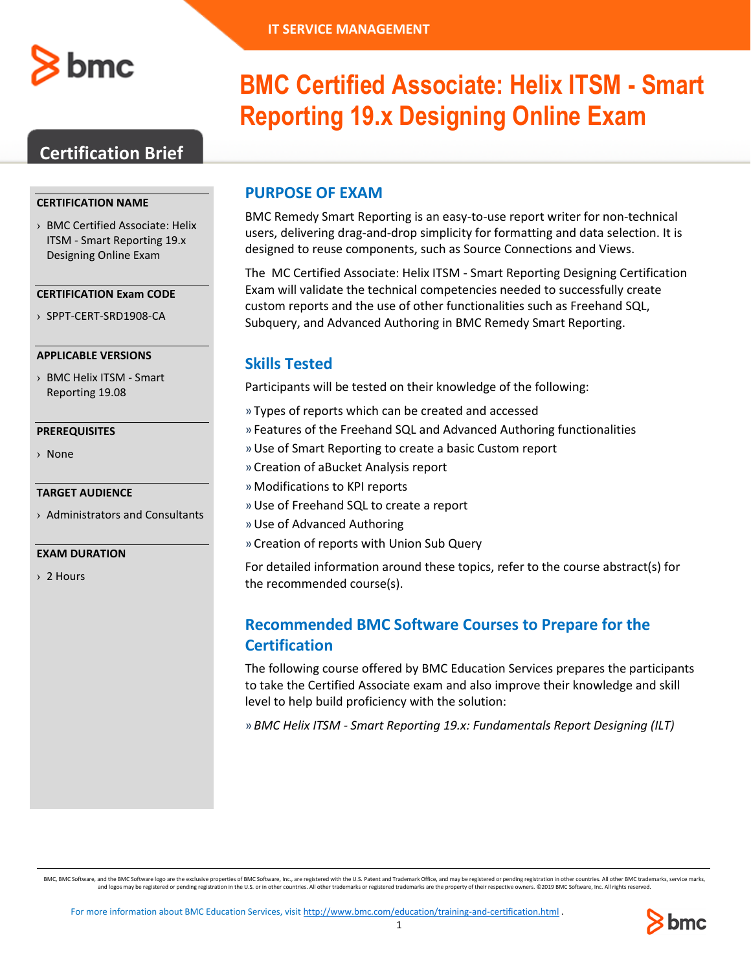

## **Certification Brief**

#### **CERTIFICATION NAME**

› BMC Certified Associate: Helix ITSM - Smart Reporting 19.x Designing Online Exam

#### **CERTIFICATION Exam CODE**

› SPPT-CERT-SRD1908-CA

#### **APPLICABLE VERSIONS**

› BMC Helix ITSM - Smart Reporting 19.08

#### **PREREQUISITES**

› None

#### **TARGET AUDIENCE**

› Administrators and Consultants

#### **EXAM DURATION**

› 2 Hours

# **BMC Certified Associate: Helix ITSM - Smart Reporting 19.x Designing Online Exam**

### **PURPOSE OF EXAM**

BMC Remedy Smart Reporting is an easy-to-use report writer for non-technical users, delivering drag-and-drop simplicity for formatting and data selection. It is designed to reuse components, such as Source Connections and Views.

The MC Certified Associate: Helix ITSM - Smart Reporting Designing Certification Exam will validate the technical competencies needed to successfully create custom reports and the use of other functionalities such as Freehand SQL, Subquery, and Advanced Authoring in BMC Remedy Smart Reporting.

### **Skills Tested**

Participants will be tested on their knowledge of the following:

- » Types of reports which can be created and accessed
- » Features of the Freehand SQL and Advanced Authoring functionalities
- »Use of Smart Reporting to create a basic Custom report
- » Creation of aBucket Analysis report
- »Modifications to KPI reports
- »Use of Freehand SQL to create a report
- »Use of Advanced Authoring
- » Creation of reports with Union Sub Query

For detailed information around these topics, refer to the course abstract(s) for the recommended course(s).

## **Recommended BMC Software Courses to Prepare for the Certification**

The following course offered by BMC Education Services prepares the participants to take the Certified Associate exam and also improve their knowledge and skill level to help build proficiency with the solution:

» *BMC Helix ITSM - Smart Reporting 19.x: Fundamentals Report Designing (ILT)*

BMC, BMC Software, and the BMC Software logo are the exclusive properties of BMC Software, Inc., are registered with the U.S. Patent and Trademark Office, and may be registered or pending registration in other countries. A

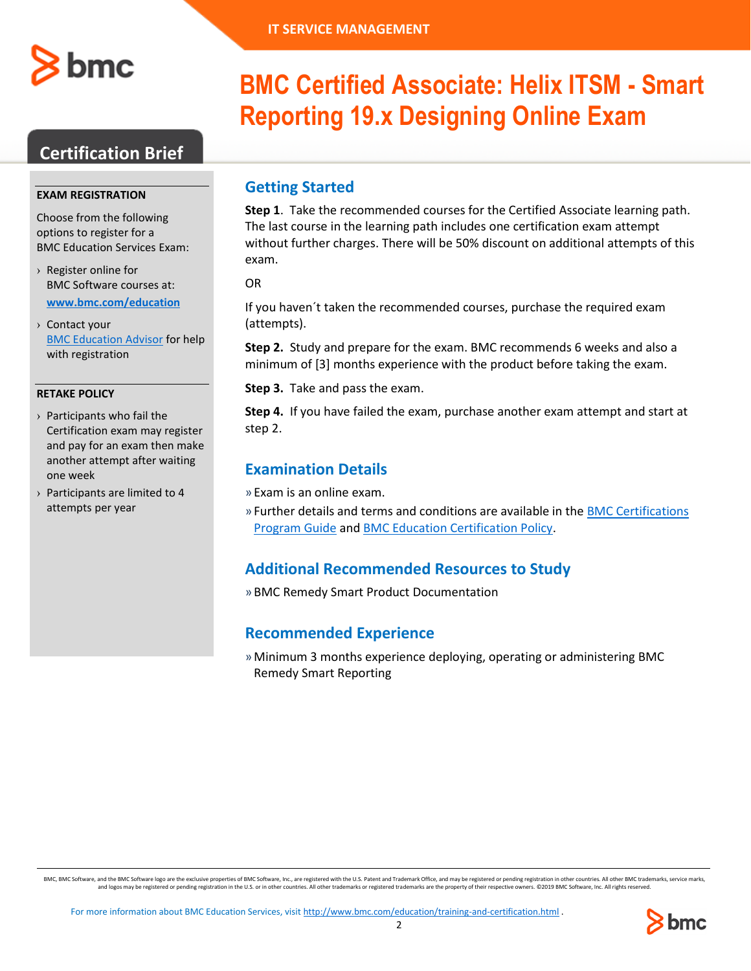

## **Certification Brief**

#### **EXAM REGISTRATION**

Choose from the following options to register for a BMC Education Services Exam:

- › Register online for BMC Software courses at: **[www.bmc.com/education](http://www.bmc.com/education)**
- › Contact your [BMC Education Advisor](https://www.bmc.com/forms/ALL-EduAdvisor-ContactMe.html) for help with registration

#### **RETAKE POLICY**

- › Participants who fail the Certification exam may register and pay for an exam then make another attempt after waiting one week
- › Participants are limited to 4 attempts per year

# **BMC Certified Associate: Helix ITSM - Smart Reporting 19.x Designing Online Exam**

## **Getting Started**

**Step 1**. Take the recommended courses for the Certified Associate learning path. The last course in the learning path includes one certification exam attempt without further charges. There will be 50% discount on additional attempts of this exam.

OR

If you haven´t taken the recommended courses, purchase the required exam (attempts).

**Step 2.** Study and prepare for the exam. BMC recommends 6 weeks and also a minimum of [3] months experience with the product before taking the exam.

**Step 3.** Take and pass the exam.

**Step 4.** If you have failed the exam, purchase another exam attempt and start at step 2.

## **Examination Details**

» Exam is an online exam.

» Further details and terms and conditions are available in th[e BMC Certifications](http://documents.bmc.com/products/documents/39/36/463936/463936.pdf)  [Program Guide](http://documents.bmc.com/products/documents/39/36/463936/463936.pdf) and [BMC Education Certification Policy.](https://www.bmc.com/content/dam/bmc/education/BMC_Education_Certification_Policy.pdf)

## **Additional Recommended Resources to Study**

» BMC Remedy Smart Product Documentation

## **Recommended Experience**

»Minimum 3 months experience deploying, operating or administering BMC Remedy Smart Reporting

BMC, BMC Software, and the BMC Software logo are the exclusive properties of BMC Software, Inc., are registered with the U.S. Patent and Trademark Office, and may be registered or pending registration in other countries. A